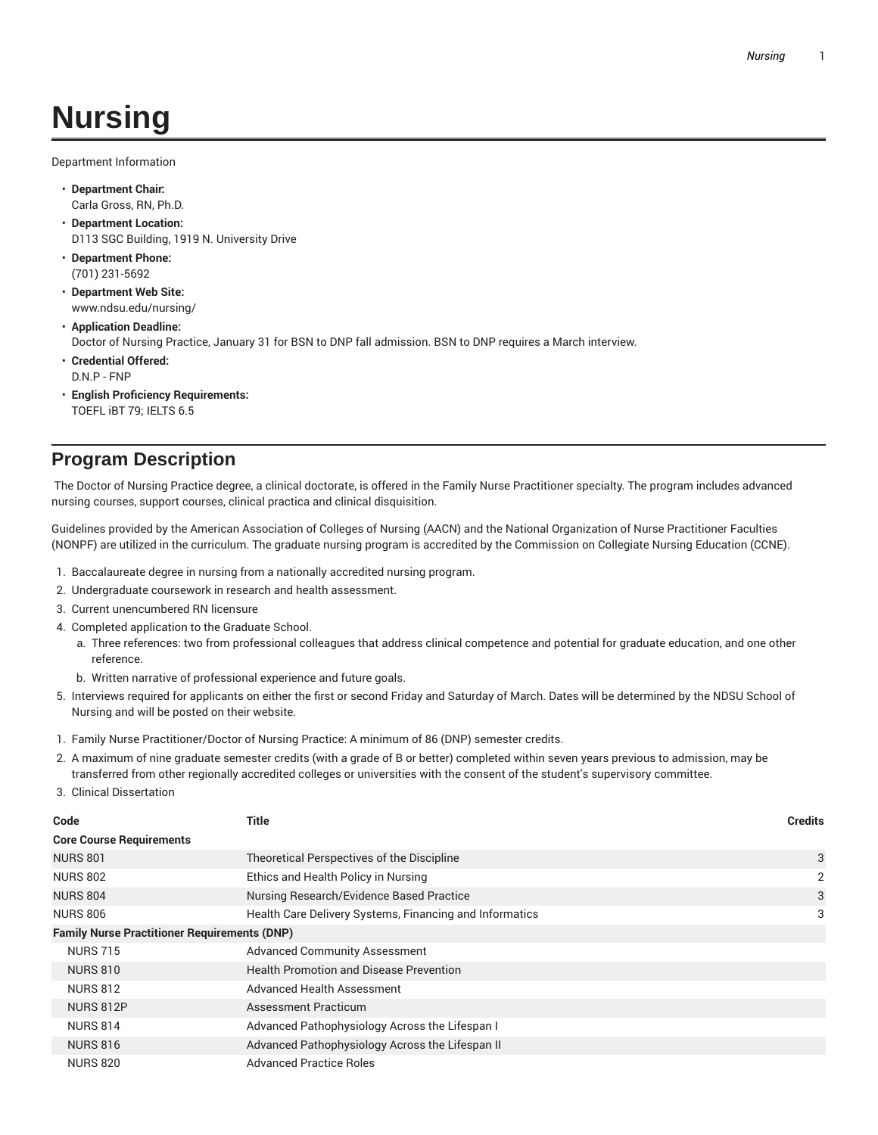## **Nursing**

Department Information

- **Department Chair:** Carla Gross, RN, Ph.D.
- **Department Location:** D113 SGC Building, 1919 N. University Drive
- **Department Phone:** (701) 231-5692
- **Department Web Site:** www.ndsu.edu/nursing/
- **Application Deadline:** Doctor of Nursing Practice, January 31 for BSN to DNP fall admission. BSN to DNP requires a March interview.
- **Credential Offered:** D.N.P - FNP
- **English Proficiency Requirements:** TOEFL iBT 79; IELTS 6.5

## **Program Description**

The Doctor of Nursing Practice degree, a clinical doctorate, is offered in the Family Nurse Practitioner specialty. The program includes advanced nursing courses, support courses, clinical practica and clinical disquisition.

Guidelines provided by the American Association of Colleges of Nursing (AACN) and the National Organization of Nurse Practitioner Faculties (NONPF) are utilized in the curriculum. The graduate nursing program is accredited by the Commission on Collegiate Nursing Education (CCNE).

- 1. Baccalaureate degree in nursing from a nationally accredited nursing program.
- 2. Undergraduate coursework in research and health assessment.
- 3. Current unencumbered RN licensure
- 4. Completed application to the Graduate School.
	- a. Three references: two from professional colleagues that address clinical competence and potential for graduate education, and one other reference.
	- b. Written narrative of professional experience and future goals.
- 5. Interviews required for applicants on either the first or second Friday and Saturday of March. Dates will be determined by the NDSU School of Nursing and will be posted on their website.
- 1. Family Nurse Practitioner/Doctor of Nursing Practice: A minimum of 86 (DNP) semester credits.
- 2. A maximum of nine graduate semester credits (with a grade of B or better) completed within seven years previous to admission, may be transferred from other regionally accredited colleges or universities with the consent of the student's supervisory committee.
- 3. Clinical Dissertation

| Code                                                | Title                                                   | <b>Credits</b> |  |  |
|-----------------------------------------------------|---------------------------------------------------------|----------------|--|--|
| <b>Core Course Requirements</b>                     |                                                         |                |  |  |
| <b>NURS 801</b>                                     | Theoretical Perspectives of the Discipline              | 3              |  |  |
| <b>NURS 802</b>                                     | Ethics and Health Policy in Nursing                     | 2              |  |  |
| <b>NURS 804</b>                                     | Nursing Research/Evidence Based Practice                | 3              |  |  |
| <b>NURS 806</b>                                     | Health Care Delivery Systems, Financing and Informatics | 3              |  |  |
| <b>Family Nurse Practitioner Requirements (DNP)</b> |                                                         |                |  |  |
| <b>NURS 715</b>                                     | <b>Advanced Community Assessment</b>                    |                |  |  |
| <b>NURS 810</b>                                     | <b>Health Promotion and Disease Prevention</b>          |                |  |  |
| <b>NURS 812</b>                                     | Advanced Health Assessment                              |                |  |  |
| <b>NURS 812P</b>                                    | <b>Assessment Practicum</b>                             |                |  |  |
| <b>NURS 814</b>                                     | Advanced Pathophysiology Across the Lifespan I          |                |  |  |
| <b>NURS 816</b>                                     | Advanced Pathophysiology Across the Lifespan II         |                |  |  |
| <b>NURS 820</b>                                     | <b>Advanced Practice Roles</b>                          |                |  |  |